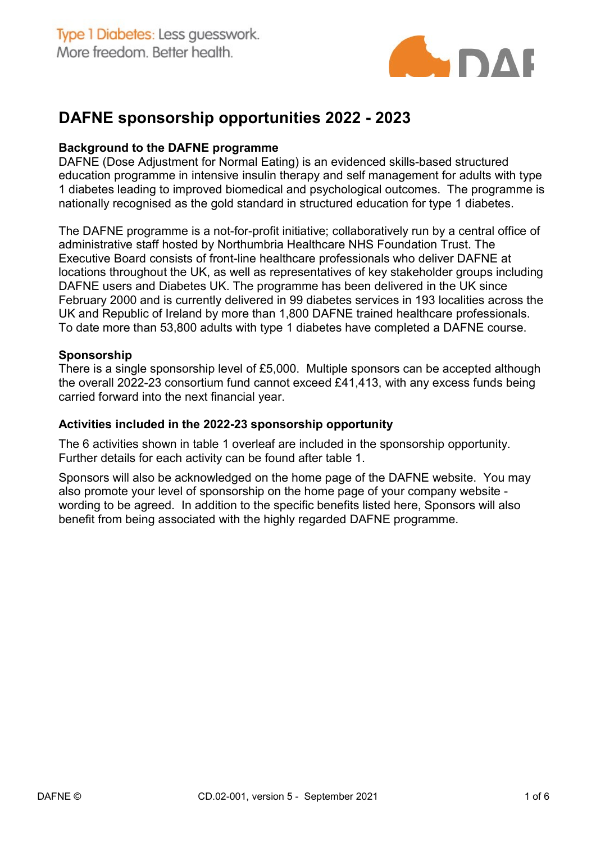

# DAFNE sponsorship opportunities 2022 - 2023

#### Background to the DAFNE programme

DAFNE (Dose Adjustment for Normal Eating) is an evidenced skills-based structured education programme in intensive insulin therapy and self management for adults with type 1 diabetes leading to improved biomedical and psychological outcomes. The programme is nationally recognised as the gold standard in structured education for type 1 diabetes.

The DAFNE programme is a not-for-profit initiative; collaboratively run by a central office of administrative staff hosted by Northumbria Healthcare NHS Foundation Trust. The Executive Board consists of front-line healthcare professionals who deliver DAFNE at locations throughout the UK, as well as representatives of key stakeholder groups including DAFNE users and Diabetes UK. The programme has been delivered in the UK since February 2000 and is currently delivered in 99 diabetes services in 193 localities across the UK and Republic of Ireland by more than 1,800 DAFNE trained healthcare professionals. To date more than 53,800 adults with type 1 diabetes have completed a DAFNE course.

#### Sponsorship

There is a single sponsorship level of £5,000. Multiple sponsors can be accepted although the overall 2022-23 consortium fund cannot exceed £41,413, with any excess funds being carried forward into the next financial year.

#### Activities included in the 2022-23 sponsorship opportunity

The 6 activities shown in table 1 overleaf are included in the sponsorship opportunity. Further details for each activity can be found after table 1.

Sponsors will also be acknowledged on the home page of the DAFNE website. You may also promote your level of sponsorship on the home page of your company website wording to be agreed. In addition to the specific benefits listed here, Sponsors will also benefit from being associated with the highly regarded DAFNE programme.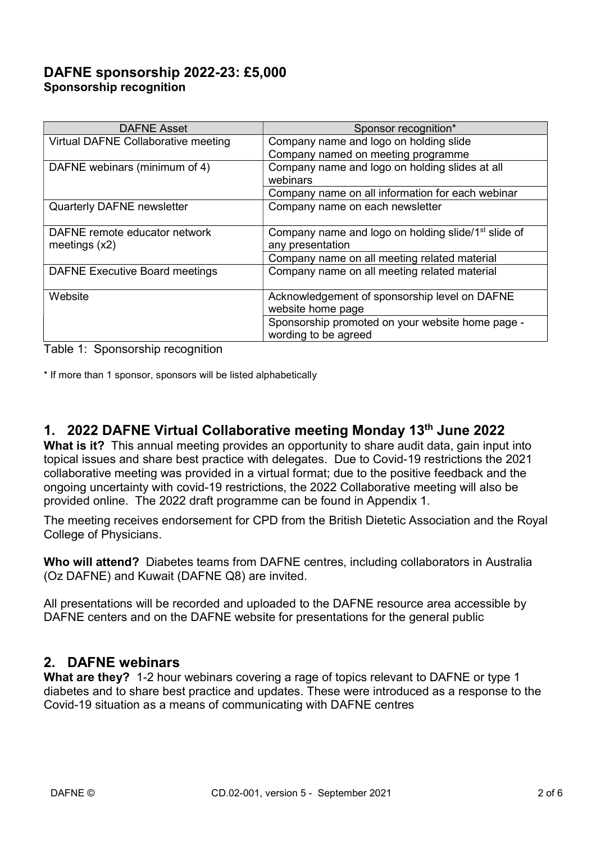## DAFNE sponsorship 2022-23: £5,000 Sponsorship recognition

| <b>DAFNE Asset</b>                    | Sponsor recognition*                                            |
|---------------------------------------|-----------------------------------------------------------------|
| Virtual DAFNE Collaborative meeting   | Company name and logo on holding slide                          |
|                                       | Company named on meeting programme                              |
| DAFNE webinars (minimum of 4)         | Company name and logo on holding slides at all                  |
|                                       | webinars                                                        |
|                                       | Company name on all information for each webinar                |
| Quarterly DAFNE newsletter            | Company name on each newsletter                                 |
|                                       |                                                                 |
| DAFNE remote educator network         | Company name and logo on holding slide/1 <sup>st</sup> slide of |
| meetings $(x2)$                       | any presentation                                                |
|                                       | Company name on all meeting related material                    |
| <b>DAFNE Executive Board meetings</b> | Company name on all meeting related material                    |
|                                       |                                                                 |
| Website                               | Acknowledgement of sponsorship level on DAFNE                   |
|                                       | website home page                                               |
|                                       | Sponsorship promoted on your website home page -                |
|                                       | wording to be agreed                                            |

Table 1: Sponsorship recognition

\* If more than 1 sponsor, sponsors will be listed alphabetically

## 1. 2022 DAFNE Virtual Collaborative meeting Monday 13th June 2022

What is it? This annual meeting provides an opportunity to share audit data, gain input into topical issues and share best practice with delegates. Due to Covid-19 restrictions the 2021 collaborative meeting was provided in a virtual format; due to the positive feedback and the ongoing uncertainty with covid-19 restrictions, the 2022 Collaborative meeting will also be provided online. The 2022 draft programme can be found in Appendix 1.

The meeting receives endorsement for CPD from the British Dietetic Association and the Royal College of Physicians.

Who will attend? Diabetes teams from DAFNE centres, including collaborators in Australia (Oz DAFNE) and Kuwait (DAFNE Q8) are invited.

All presentations will be recorded and uploaded to the DAFNE resource area accessible by DAFNE centers and on the DAFNE website for presentations for the general public

### 2. DAFNE webinars

What are they? 1-2 hour webinars covering a rage of topics relevant to DAFNE or type 1 diabetes and to share best practice and updates. These were introduced as a response to the Covid-19 situation as a means of communicating with DAFNE centres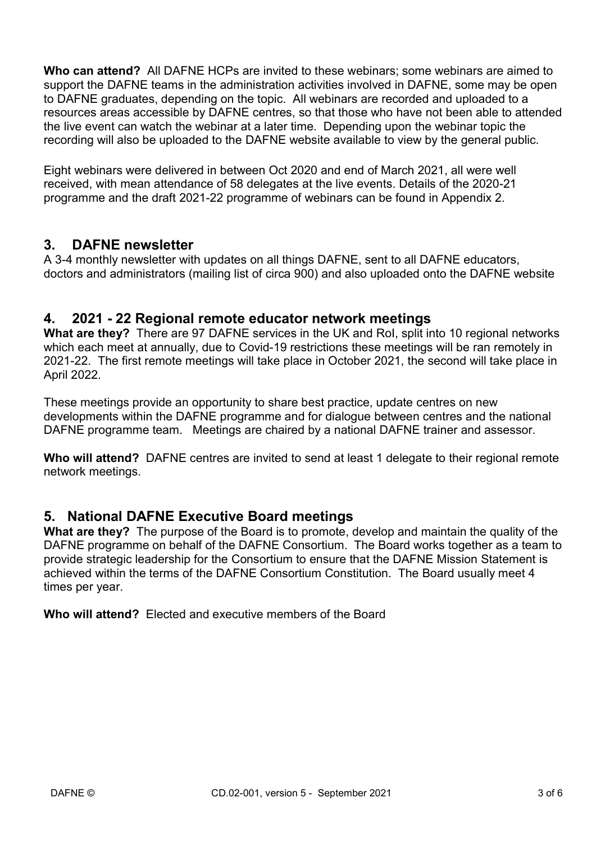Who can attend? All DAFNE HCPs are invited to these webinars; some webinars are aimed to support the DAFNE teams in the administration activities involved in DAFNE, some may be open to DAFNE graduates, depending on the topic. All webinars are recorded and uploaded to a resources areas accessible by DAFNE centres, so that those who have not been able to attended the live event can watch the webinar at a later time. Depending upon the webinar topic the recording will also be uploaded to the DAFNE website available to view by the general public.

Eight webinars were delivered in between Oct 2020 and end of March 2021, all were well received, with mean attendance of 58 delegates at the live events. Details of the 2020-21 programme and the draft 2021-22 programme of webinars can be found in Appendix 2.

## 3. DAFNE newsletter

A 3-4 monthly newsletter with updates on all things DAFNE, sent to all DAFNE educators, doctors and administrators (mailing list of circa 900) and also uploaded onto the DAFNE website

### 4. 2021 - 22 Regional remote educator network meetings

What are they? There are 97 DAFNE services in the UK and RoI, split into 10 regional networks which each meet at annually, due to Covid-19 restrictions these meetings will be ran remotely in 2021-22. The first remote meetings will take place in October 2021, the second will take place in April 2022.

These meetings provide an opportunity to share best practice, update centres on new developments within the DAFNE programme and for dialogue between centres and the national DAFNE programme team. Meetings are chaired by a national DAFNE trainer and assessor.

Who will attend? DAFNE centres are invited to send at least 1 delegate to their regional remote network meetings.

### 5. National DAFNE Executive Board meetings

What are they? The purpose of the Board is to promote, develop and maintain the quality of the DAFNE programme on behalf of the DAFNE Consortium. The Board works together as a team to provide strategic leadership for the Consortium to ensure that the DAFNE Mission Statement is achieved within the terms of the DAFNE Consortium Constitution. The Board usually meet 4 times per year.

Who will attend? Elected and executive members of the Board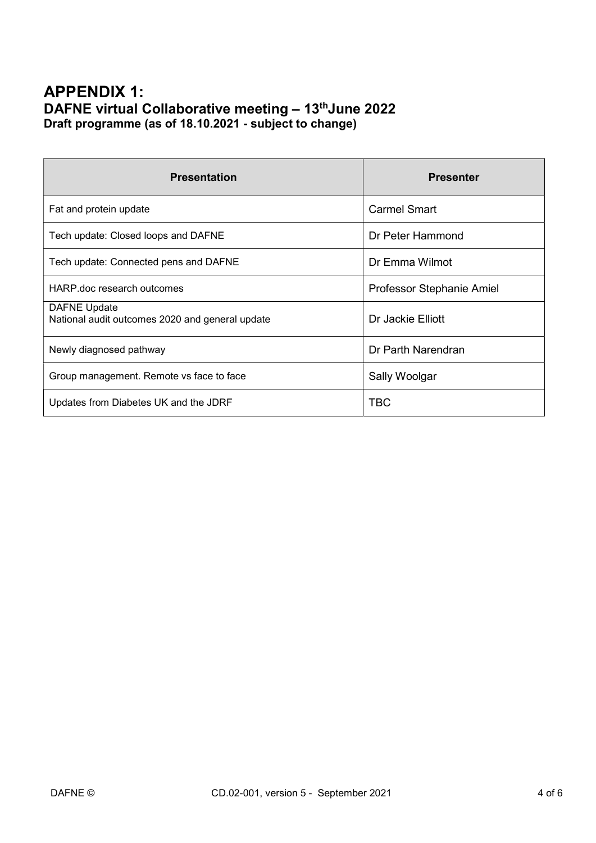## APPENDIX 1: DAFNE virtual Collaborative meeting - 13<sup>th</sup>June 2022 Draft programme (as of 18.10.2021 - subject to change)

| <b>Presentation</b>                                                    | <b>Presenter</b>          |
|------------------------------------------------------------------------|---------------------------|
| Fat and protein update                                                 | <b>Carmel Smart</b>       |
| Tech update: Closed loops and DAFNE                                    | Dr Peter Hammond          |
| Tech update: Connected pens and DAFNE                                  | Dr Emma Wilmot            |
| HARP doc research outcomes                                             | Professor Stephanie Amiel |
| <b>DAFNE Update</b><br>National audit outcomes 2020 and general update | Dr Jackie Elliott         |
| Newly diagnosed pathway                                                | Dr Parth Narendran        |
| Group management. Remote vs face to face                               | Sally Woolgar             |
| Updates from Diabetes UK and the JDRF                                  | <b>TBC</b>                |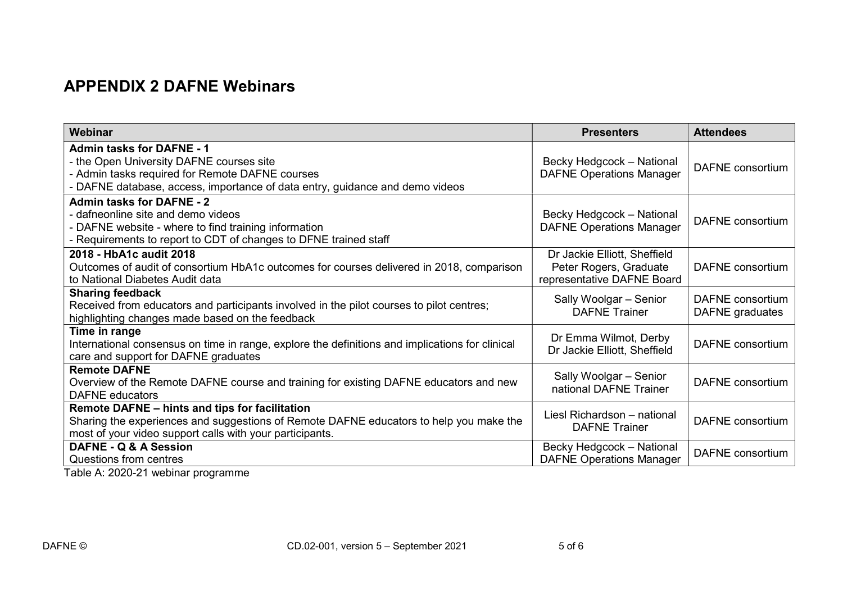# APPENDIX 2 DAFNE Webinars

| Webinar                                                                                         | <b>Presenters</b>               | <b>Attendees</b>        |
|-------------------------------------------------------------------------------------------------|---------------------------------|-------------------------|
| <b>Admin tasks for DAFNE - 1</b>                                                                |                                 |                         |
| - the Open University DAFNE courses site                                                        | Becky Hedgcock - National       | <b>DAFNE</b> consortium |
| - Admin tasks required for Remote DAFNE courses                                                 | <b>DAFNE Operations Manager</b> |                         |
| - DAFNE database, access, importance of data entry, guidance and demo videos                    |                                 |                         |
| <b>Admin tasks for DAFNE - 2</b>                                                                |                                 |                         |
| - dafneonline site and demo videos                                                              | Becky Hedgcock - National       | <b>DAFNE</b> consortium |
| - DAFNE website - where to find training information                                            | <b>DAFNE Operations Manager</b> |                         |
| - Requirements to report to CDT of changes to DFNE trained staff                                |                                 |                         |
| 2018 - HbA1c audit 2018                                                                         | Dr Jackie Elliott, Sheffield    |                         |
| Outcomes of audit of consortium HbA1c outcomes for courses delivered in 2018, comparison        | Peter Rogers, Graduate          | <b>DAFNE</b> consortium |
| to National Diabetes Audit data                                                                 | representative DAFNE Board      |                         |
| <b>Sharing feedback</b>                                                                         | Sally Woolgar - Senior          | <b>DAFNE</b> consortium |
| Received from educators and participants involved in the pilot courses to pilot centres;        | <b>DAFNE Trainer</b>            | DAFNE graduates         |
| highlighting changes made based on the feedback                                                 |                                 |                         |
| Time in range                                                                                   | Dr Emma Wilmot, Derby           |                         |
| International consensus on time in range, explore the definitions and implications for clinical | Dr Jackie Elliott, Sheffield    | <b>DAFNE</b> consortium |
| care and support for DAFNE graduates                                                            |                                 |                         |
| <b>Remote DAFNE</b>                                                                             | Sally Woolgar - Senior          |                         |
| Overview of the Remote DAFNE course and training for existing DAFNE educators and new           | national DAFNE Trainer          | <b>DAFNE</b> consortium |
| <b>DAFNE</b> educators                                                                          |                                 |                         |
| Remote DAFNE - hints and tips for facilitation                                                  | Liesl Richardson - national     |                         |
| Sharing the experiences and suggestions of Remote DAFNE educators to help you make the          | <b>DAFNE</b> Trainer            | <b>DAFNE</b> consortium |
| most of your video support calls with your participants.                                        |                                 |                         |
| DAFNE - Q & A Session                                                                           | Becky Hedgcock - National       | DAFNE consortium        |
| Questions from centres                                                                          | <b>DAFNE Operations Manager</b> |                         |

Table A: 2020-21 webinar programme